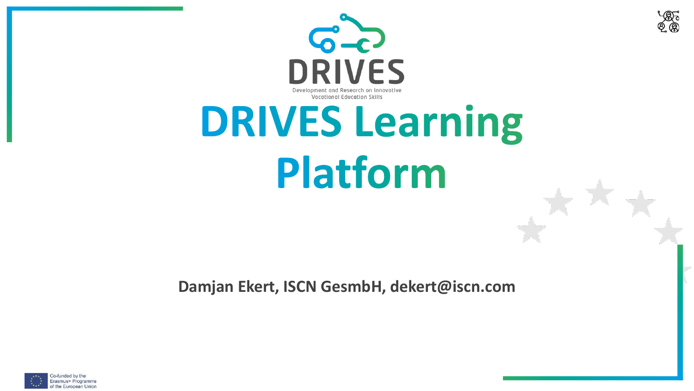



# **DRIVES Learning** Platform

**Damjan Ekert, ISCN GesmbH, dekert@iscn.com**

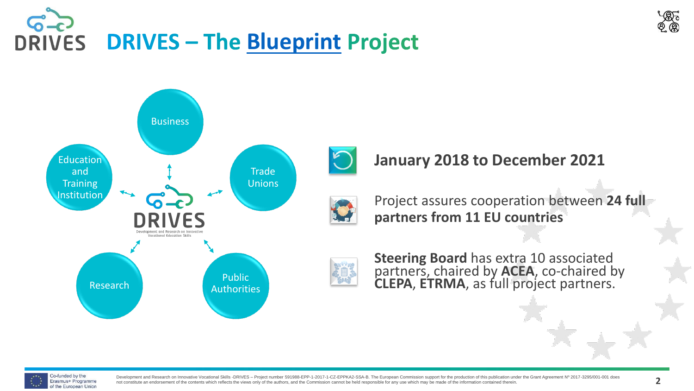





**January 2018 to December 2021**



Project assures cooperation between **24 full partners from 11 EU countries**



**Steering Board** has extra 10 associated partners, chaired by **ACEA**, co-chaired by **CLEPA**, **ETRMA**, as full project partners.



Development and Research on Innovative Vocational Skills -DRIVES - Project number 591988-EPP-1-2017-1-CZ-EPPKA2-SSA-B. The European Commission support for the production of this publication under the Grant Agreement Nº 201 not constitute an endorsement of the contents which reflects the views only of the authors, and the Commission cannot be held responsible for any use which may be made of the information contained therein.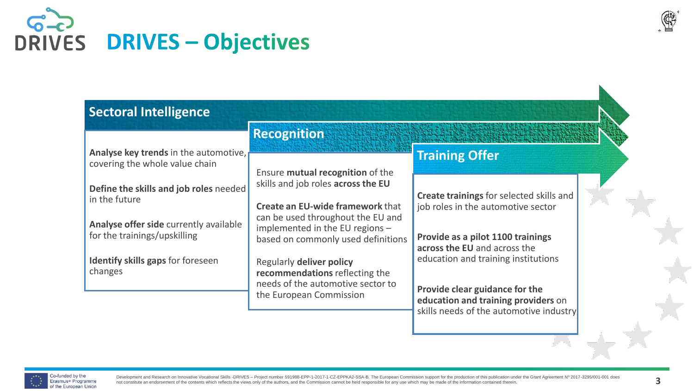

#### **Sectoral Intelligence**

**Analyse key trends** in the automotive, covering the whole value chain

**Define the skills and job roles** needed in the future

**Analyse offer side** currently available for the trainings/upskilling

**Identify skills gaps** for foreseen changes

**Recognition**

Ensure **mutual recognition** of the skills and job roles **across the EU**

**Create an EU-wide framework** that can be used throughout the EU and implemented in the EU regions – based on commonly used definitions

Regularly **deliver policy recommendations** reflecting the needs of the automotive sector to the European Commission

#### **Training Offer**

**Create trainings** for selected skills and job roles in the automotive sector

**Provide as a pilot 1100 trainings across the EU** and across the education and training institutions

**Provide clear guidance for the education and training providers** on skills needs of the automotive industry

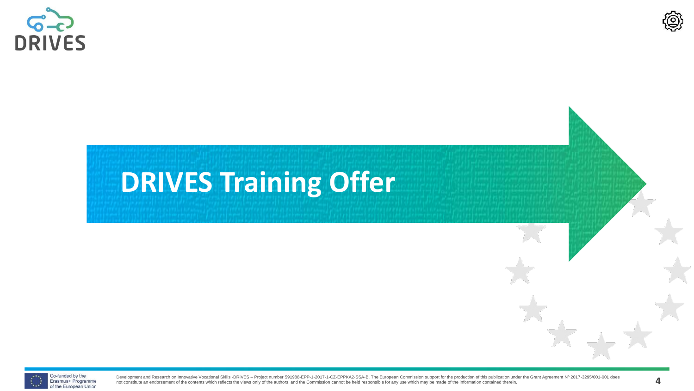



## **DRIVES Training Offer**

Co-funded by the Erasmus+ Programme of the European Union

Development and Research on Innovative Vocational Skills -DRIVES - Project number 591988-EPP-1-2017-1-CZ-EPPKA2-SSA-B. The European Commission support for the production of this publication under the Grant Agreement Nº 201 Development and research on innovative vocational Skins-Drives - Project number 591966-EPP-1-2017-1-CD-EPPRAZ-SSA-B. The European Commission support for the production of the production of the Guant Agreement N° 2017-3293/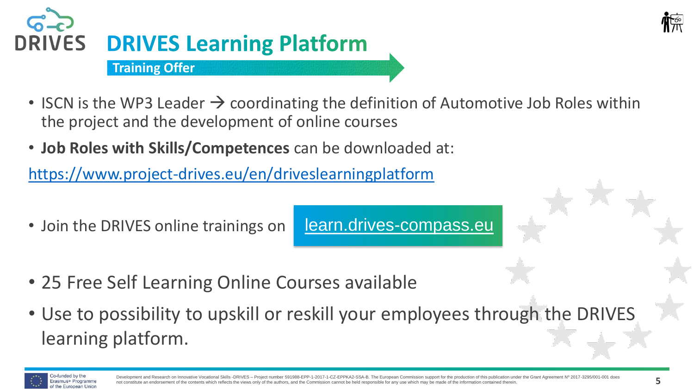



- ISCN is the WP3 Leader  $\rightarrow$  coordinating the definition of Automotive Job Roles within the project and the development of online courses
- **Job Roles with Skills/Competences** can be downloaded at:

<https://www.project-drives.eu/en/driveslearningplatform>

• Join the DRIVES online trainings on

[learn.drives-compass.eu](http://learn.drives-compass.eu/)

- 25 Free Self Learning Online Courses available
- Use to possibility to upskill or reskill your employees through the DRIVES learning platform.

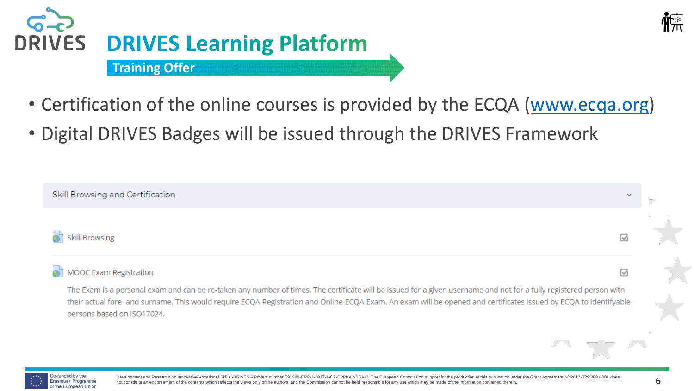



- Certification of the online courses is provided by the ECQA ([www.ecqa.org\)](http://www.ecqa.org/)
- Digital DRIVES Badges will be issued through the DRIVES Framework

| Skill Browsing and Certification                                                                                                                                                                                                                                                                                                                                       | $\checkmark$ |
|------------------------------------------------------------------------------------------------------------------------------------------------------------------------------------------------------------------------------------------------------------------------------------------------------------------------------------------------------------------------|--------------|
| <b>Skill Browsing</b>                                                                                                                                                                                                                                                                                                                                                  |              |
| MOOC Exam Registration                                                                                                                                                                                                                                                                                                                                                 | ⋈            |
| The Exam is a personal exam and can be re-taken any number of times. The certificate will be issued for a given username and not for a fully registered person with<br>their actual fore- and surname. This would require ECQA-Registration and Online-ECQA-Exam. An exam will be opened and certificates issued by ECQA to identifyable<br>persons based on ISO17024. |              |
|                                                                                                                                                                                                                                                                                                                                                                        |              |

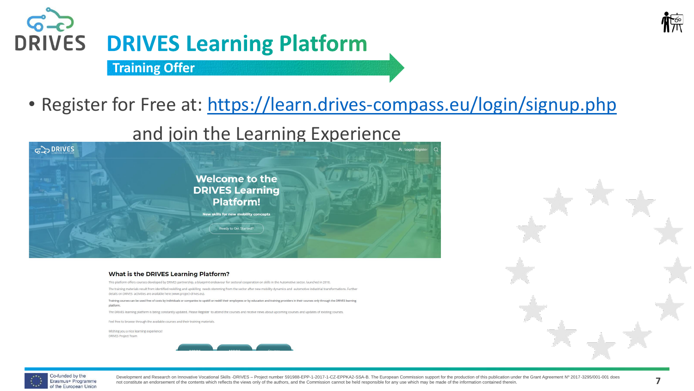

#### $6 -$ **DRIVES DRIVES Learning Platform Training Offer**

• Register for Free at: <https://learn.drives-compass.eu/login/signup.php>

#### and join the Learning Experience



#### What is the DRIVES Learning Platform?

This platform offers courses developed by DRIVES partnership, a blueprint endeavour for sectoral cooperation on skills in the Automotive sector, launched in 2018.

The training materials result from identified reskilling and upskilling needs stemming from the sector after new mobility dynamics and automotive industrial transformations. Further details on DRIVES activities are available here (www.project-drives.eu).

Training courses can be used free of costs by individuals or companies to upskill or reskill their employees or by education and training providers in their courses only through the DRIVES learning platform.

The DRIVES learning platform is being constantly updated. Please Register to attend the courses and receive news about upcoming courses and updates of existing courses.

Feel free to browse through the available courses and their training materials.

Wishing you a nice learning experience! **DRIVES Project Team** 





Development and Research on Innovative Vocational Skills -DRIVES - Project number 591988-EPP-1-2017-1-CZ-EPPKA2-SSA-B. The European Commission support for the production of this publication under the Grant Agreement Nº 201 not constitute an endorsement of the contents which reflects the views only of the authors, and the Commission cannot be held responsible for any use which may be made of the information contained therein. May be made of t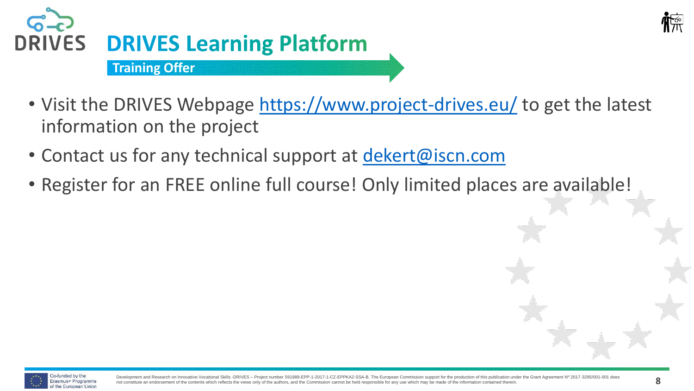



- Visit the DRIVES Webpage <https://www.project-drives.eu/> to get the latest information on the project
- Contact us for any technical support at [dekert@iscn.com](mailto:dekert@iscn.com)
- Register for an FREE online full course! Only limited places are available!